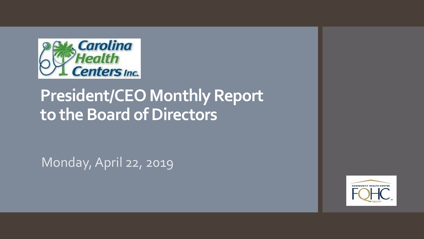

# **President/CEO Monthly Report to the Board of Directors**

Monday, April 22, 2019

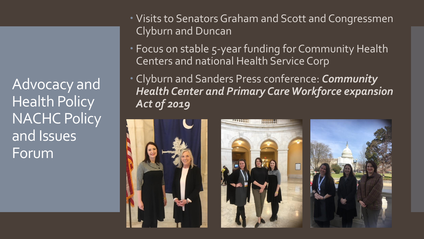Advocacy and Health Policy **NACHC Policy** and Issues Forum

- Visits to Senators Graham and Scott and Congressmen Clyburn and Duncan
- Focus on stable 5-year funding for Community Health Centers and national Health Service Corp
- Clyburn and Sanders Press conference: *Community Health Center and Primary Care Workforce expansion Act of 2019*

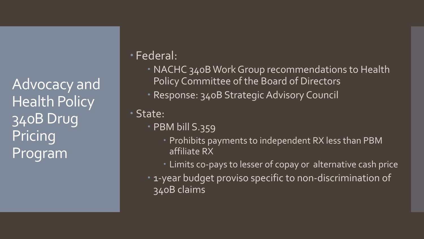Advocacy and Health Policy 340B Drug Pricing Program

Federal:

- NACHC 340B Work Group recommendations to Health Policy Committee of the Board of Directors
- Response: 340B Strategic Advisory Council

State:

- PBM bill S.359
	- Prohibits payments to independent RX less than PBM affiliate RX
	- Limits co-pays to lesser of copay or alternative cash price
- 1-year budget proviso specific to non-discrimination of 340B claims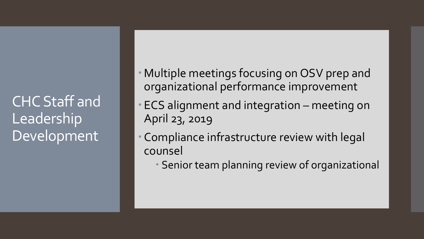CHC Staff and Leadership Development

- Multiple meetings focusing on OSV prep and organizational performance improvement
- ECS alignment and integration meeting on April 23, 2019
- Compliance infrastructure review with legal counsel
	- Senior team planning review of organizational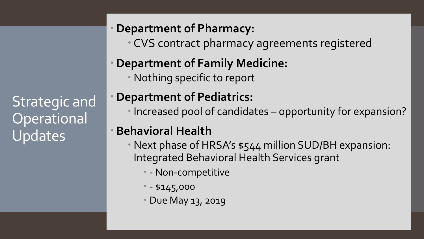Strategic and **Operational** Updates

#### **Department of Pharmacy:**

CVS contract pharmacy agreements registered

## **Department of Family Medicine:**

Nothing specific to report

### **Department of Pediatrics:**

Increased pool of candidates – opportunity for expansion?

#### **Behavioral Health**

- Next phase of HRSA's \$544 million SUD/BH expansion: Integrated Behavioral Health Services grant
	- Non-competitive
	- $- $145,000$
	- Due May 13, 2019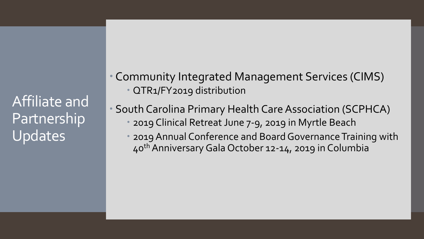Affiliate and **Partnership** Updates

 Community Integrated Management Services (CIMS) QTR1/FY2019 distribution

 South Carolina Primary Health Care Association (SCPHCA) 2019 Clinical Retreat June 7-9, 2019 in Myrtle Beach

 2019 Annual Conference and Board Governance Training with 40thAnniversary Gala October 12-14, 2019 in Columbia